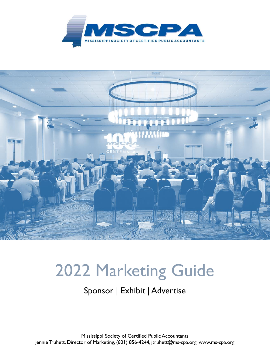



# 2022 Marketing Guide

# Sponsor | Exhibit | Advertise

Mississippi Society of Certified Public Accountants Jennie Truhett, Director of Marketing, (601) 856-4244, jtruhett@ms-cpa.org, www.ms-cpa.org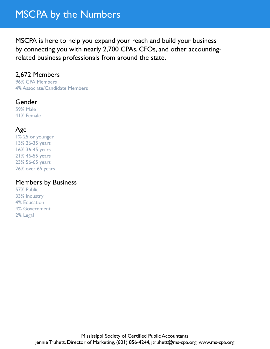# MSCPA by the Numbers

MSCPA is here to help you expand your reach and build your business by connecting you with nearly 2,700 CPAs, CFOs, and other accountingrelated business professionals from around the state.

### 2,672 Members

96% CPA Members 4% Associate/Candidate Members

#### **Gender**

59% Male 41% Female

### Age

1% 25 or younger 13% 26-35 years 16% 36-45 years 21% 46-55 years 23% 56-65 years 26% over 65 years

#### Members by Business

57% Public 33% Industry 4% Education 4% Government 2% Legal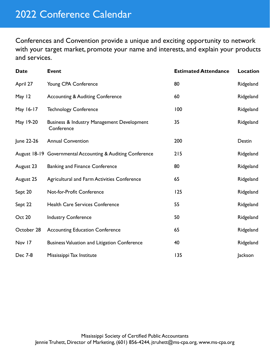Conferences and Convention provide a unique and exciting opportunity to network with your target market, promote your name and interests, and explain your products and services.

| <b>Date</b> | <b>Event</b>                                                        | <b>Estimated Attendance</b> | <b>Location</b> |
|-------------|---------------------------------------------------------------------|-----------------------------|-----------------|
| April 27    | Young CPA Conference                                                | 80                          | Ridgeland       |
| May 12      | <b>Accounting &amp; Auditing Conference</b>                         | 60                          | Ridgeland       |
| May 16-17   | <b>Technology Conference</b>                                        | 100                         | Ridgeland       |
| May 19-20   | <b>Business &amp; Industry Management Development</b><br>Conference | 35                          | Ridgeland       |
| June 22-26  | <b>Annual Convention</b>                                            | 200                         | Destin          |
|             | August 18-19 Governmental Accounting & Auditing Conference          | 215                         | Ridgeland       |
| August 23   | <b>Banking and Finance Conference</b>                               | 80                          | Ridgeland       |
| August 25   | <b>Agricultural and Farm Activities Conference</b>                  | 65                          | Ridgeland       |
| Sept 20     | Not-for-Profit Conference                                           | 125                         | Ridgeland       |
| Sept 22     | <b>Health Care Services Conference</b>                              | 55                          | Ridgeland       |
| Oct 20      | <b>Industry Conference</b>                                          | 50                          | Ridgeland       |
| October 28  | <b>Accounting Education Conference</b>                              | 65                          | Ridgeland       |
| Nov 17      | <b>Business Valuation and Litigation Conference</b>                 | 40                          | Ridgeland       |
| Dec 7-8     | Mississippi Tax Institute                                           | 135                         | Jackson         |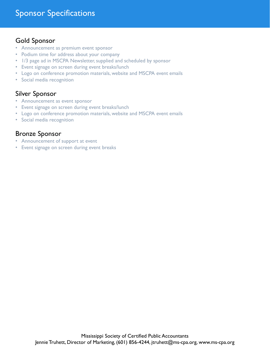#### Gold Sponsor

- Announcement as premium event sponsor
- Podium time for address about your company
- 1/3 page ad in MSCPA Newsletter, supplied and scheduled by sponsor
- Event signage on screen during event breaks/lunch
- Logo on conference promotion materials, website and MSCPA event emails
- Social media recognition

#### Silver Sponsor

- Announcement as event sponsor
- Event signage on screen during event breaks/lunch
- Logo on conference promotion materials, website and MSCPA event emails
- Social media recognition

#### Bronze Sponsor

- Announcement of support at event
- Event signage on screen during event breaks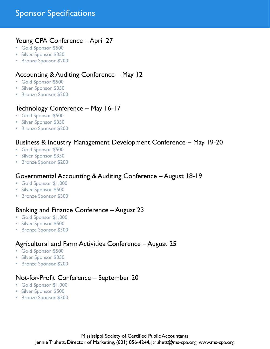# Sponsor Specifications

#### Young CPA Conference – April 27

- Gold Sponsor \$500
- Silver Sponsor \$350
- Bronze Sponsor \$200

#### Accounting & Auditing Conference – May 12

- Gold Sponsor \$500
- Silver Sponsor \$350
- Bronze Sponsor \$200

#### Technology Conference – May 16-17

- Gold Sponsor \$500
- Silver Sponsor \$350
- Bronze Sponsor \$200

#### Business & Industry Management Development Conference – May 19-20

- Gold Sponsor \$500
- Silver Sponsor \$350
- Bronze Sponsor \$200

#### Governmental Accounting & Auditing Conference – August 18-19

- Gold Sponsor \$1,000
- Silver Sponsor \$500
- Bronze Sponsor \$300

#### Banking and Finance Conference – August 23

- Gold Sponsor \$1,000
- Silver Sponsor \$500
- Bronze Sponsor \$300

#### Agricultural and Farm Activities Conference – August 25

- Gold Sponsor \$500
- Silver Sponsor \$350
- Bronze Sponsor \$200

#### Not-for-Profit Conference – September 20

- Gold Sponsor \$1,000
- Silver Sponsor \$500
- Bronze Sponsor \$300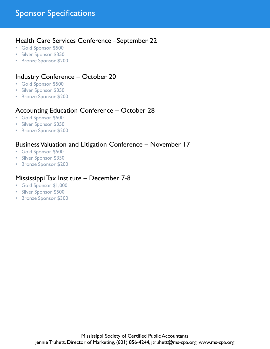#### Health Care Services Conference –September 22

- Gold Sponsor \$500
- Silver Sponsor \$350
- Bronze Sponsor \$200

### Industry Conference – October 20

- Gold Sponsor \$500
- Silver Sponsor \$350
- Bronze Sponsor \$200

#### Accounting Education Conference – October 28

- Gold Sponsor \$500
- Silver Sponsor \$350
- Bronze Sponsor \$200

#### Business Valuation and Litigation Conference – November 17

- Gold Sponsor \$500
- Silver Sponsor \$350
- Bronze Sponsor \$200

#### Mississippi Tax Institute – December 7-8

- Gold Sponsor \$1,000
- Silver Sponsor \$500
- Bronze Sponsor \$300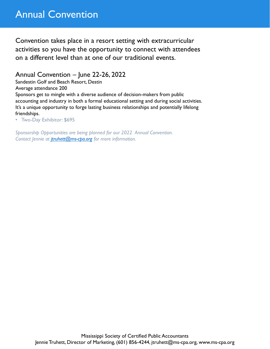# Annual Convention

Convention takes place in a resort setting with extracurricular activities so you have the opportunity to connect with attendees on a different level than at one of our traditional events.

Annual Convention – June 22-26, 2022

Sandestin Golf and Beach Resort, Destin

Average attendance 200

Sponsors get to mingle with a diverse audience of decision-makers from public accounting and industry in both a formal educational setting and during social activities. It's a unique opportunity to forge lasting business relationships and potentially lifelong friendships.

• Two-Day Exhibitor: \$695

*Sponsorship Opportunities are being planned for our 2022 Annual Convention. Contact Jennie at [jtruhett@ms-cpa.org](mailto:jtruhett@ms-cpa.org) for more information.*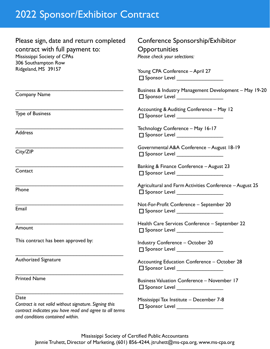# 2022 Sponsor/Exhibitor Contract

| Please sign, date and return completed<br>contract with full payment to:<br>Mississippi Society of CPAs<br>306 Southampton Row                               | Conference Sponsorship/Exhibitor<br>Opportunities<br>Please check your selections:                                                                                                             |  |  |  |
|--------------------------------------------------------------------------------------------------------------------------------------------------------------|------------------------------------------------------------------------------------------------------------------------------------------------------------------------------------------------|--|--|--|
| Ridgeland, MS 39157                                                                                                                                          | Young CPA Conference - April 27<br>$\Box$ Sponsor Level __________________                                                                                                                     |  |  |  |
| <b>Company Name</b>                                                                                                                                          | Business & Industry Management Development - May 19-20<br>$\square$ Sponsor Level ____________________<br>Accounting & Auditing Conference - May 12<br>$\Box$ Sponsor Level __________________ |  |  |  |
| <b>Type of Business</b>                                                                                                                                      |                                                                                                                                                                                                |  |  |  |
| <b>Address</b>                                                                                                                                               | Technology Conference - May 16-17<br>□ Sponsor Level ___________________                                                                                                                       |  |  |  |
| City/ZIP                                                                                                                                                     | Governmental A&A Conference - August 18-19<br>$\Box$ Sponsor Level _________________                                                                                                           |  |  |  |
| Contact                                                                                                                                                      | Banking & Finance Conference - August 23<br>$\Box$ Sponsor Level __________________                                                                                                            |  |  |  |
| Phone                                                                                                                                                        | Agricultural and Farm Activities Conference - August 25<br>$\square$ Sponsor Level ____________________                                                                                        |  |  |  |
| Email                                                                                                                                                        | Not-For-Profit Conference - September 20<br>□ Sponsor Level ________________                                                                                                                   |  |  |  |
| Amount                                                                                                                                                       | Health Care Services Conference - September 22<br>□ Sponsor Level                                                                                                                              |  |  |  |
| This contract has been approved by:                                                                                                                          | <b>Industry Conference - October 20</b><br>□ Sponsor Level __________________                                                                                                                  |  |  |  |
| Authorized Signature                                                                                                                                         | Accounting Education Conference - October 28<br>□ Sponsor Level ___________________                                                                                                            |  |  |  |
| <b>Printed Name</b>                                                                                                                                          | <b>Business Valuation Conference - November 17</b><br>$\square$ Sponsor Level ____________________                                                                                             |  |  |  |
| Date<br>Contract is not valid without signature. Signing this<br>contract indicates you have read and agree to all terms<br>and conditions contained within. | Mississippi Tax Institute - December 7-8<br>□ Sponsor Level ___________________                                                                                                                |  |  |  |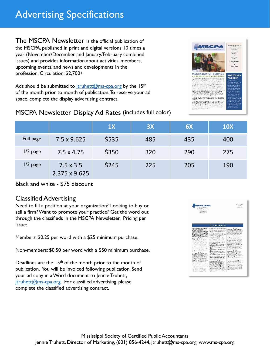# Advertising Specifications

The MSCPA Newsletter is the official publication of the MSCPA, published in print and digital versions 10 times a year (November/December and January/February combined issues) and provides information about activities, members, upcoming events, and news and developments in the profession. Circulation: \$2,700+

Ads should be submitted to  $\frac{i\pi}{2}$  truhett  $\frac{2m}{2}$  cpa.org by the 15<sup>th</sup> of the month prior to month of publication. To reserve your ad space, complete the display advertising contract.



#### MSCPA Newsletter Display Ad Rates (includes full color)

|            |                                   | 1X    | 3X  | 6X  | <b>10X</b> |
|------------|-----------------------------------|-------|-----|-----|------------|
| Full page  | 7.5 x 9.625                       | \$535 | 485 | 435 | 400        |
| $1/2$ page | $7.5 \times 4.75$                 | \$350 | 320 | 290 | 275        |
| $1/3$ page | $7.5 \times 3.5$<br>2.375 x 9.625 | \$245 | 225 | 205 | 190        |

#### Black and white - \$75 discount

#### Classified Advertising

Need to fill a position at your organization? Looking to buy or sell a firm? Want to promote your practice? Get the word out through the classifieds in the MSCPA Newsletter. Pricing per issue:

Members: \$0.25 per word with a \$25 minimum purchase.

Non-members: \$0.50 per word with a \$50 minimum purchase.

Deadlines are the 15<sup>th</sup> of the month prior to the month of publication. You will be invoiced following publication. Send your ad copy in a Word document to Jennie Truhett,  $itruhett@ms-cpa.org.$  For classified advertising, please complete the classified advertising contract.

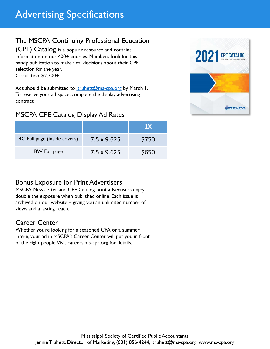## The MSCPA Continuing Professional Education

(CPE) Catalog is a popular resource and contains information on our 400+ courses. Members look for this handy publication to make final decisions about their CPE selection for the year. Circulation: \$2,700+

Ads should be submitted to  $\frac{i\text{truhett}(\mathcal{Q})}{\text{ms-cpa.org}}$  by March 1. To reserve your ad space, complete the display advertising contract.

### MSCPA CPE Catalog Display Ad Rates

|                              |                    | <b>1X</b> |
|------------------------------|--------------------|-----------|
| 4C Full page (inside covers) | $7.5 \times 9.625$ | \$750     |
| <b>BW Full page</b>          | 7.5 x 9.625        | \$650     |



### Bonus Exposure for Print Advertisers

MSCPA Newsletter and CPE Catalog print advertisers enjoy double the exposure when published online. Each issue is archived on our website – giving you an unlimited number of views and a lasting reach.

### Career Center

Whether you're looking for a seasoned CPA or a summer intern, your ad in MSCPA's Career Center will put you in front of the right people. Visit careers.ms-cpa.org for details.